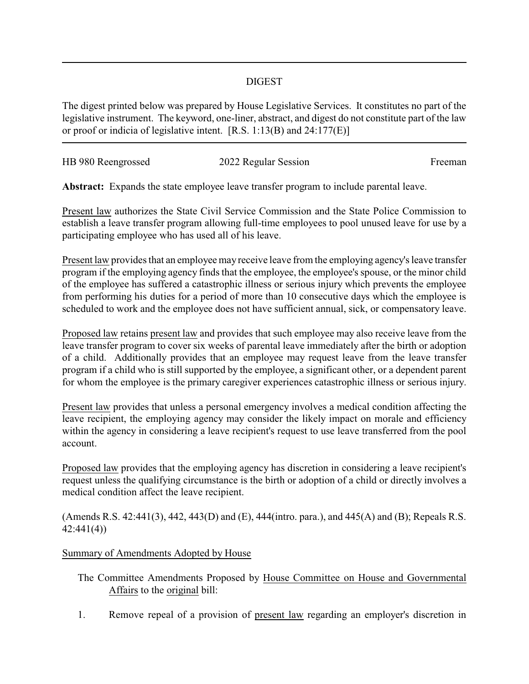## DIGEST

The digest printed below was prepared by House Legislative Services. It constitutes no part of the legislative instrument. The keyword, one-liner, abstract, and digest do not constitute part of the law or proof or indicia of legislative intent. [R.S. 1:13(B) and 24:177(E)]

| HB 980 Reengrossed | 2022 Regular Session | Freeman |
|--------------------|----------------------|---------|
|                    |                      |         |

**Abstract:** Expands the state employee leave transfer program to include parental leave.

Present law authorizes the State Civil Service Commission and the State Police Commission to establish a leave transfer program allowing full-time employees to pool unused leave for use by a participating employee who has used all of his leave.

Present law provides that an employee may receive leave from the employing agency's leave transfer program if the employing agency finds that the employee, the employee's spouse, or the minor child of the employee has suffered a catastrophic illness or serious injury which prevents the employee from performing his duties for a period of more than 10 consecutive days which the employee is scheduled to work and the employee does not have sufficient annual, sick, or compensatory leave.

Proposed law retains present law and provides that such employee may also receive leave from the leave transfer program to cover six weeks of parental leave immediately after the birth or adoption of a child. Additionally provides that an employee may request leave from the leave transfer program if a child who is still supported by the employee, a significant other, or a dependent parent for whom the employee is the primary caregiver experiences catastrophic illness or serious injury.

Present law provides that unless a personal emergency involves a medical condition affecting the leave recipient, the employing agency may consider the likely impact on morale and efficiency within the agency in considering a leave recipient's request to use leave transferred from the pool account.

Proposed law provides that the employing agency has discretion in considering a leave recipient's request unless the qualifying circumstance is the birth or adoption of a child or directly involves a medical condition affect the leave recipient.

(Amends R.S. 42:441(3), 442, 443(D) and (E), 444(intro. para.), and 445(A) and (B); Repeals R.S. 42:441(4))

## Summary of Amendments Adopted by House

The Committee Amendments Proposed by House Committee on House and Governmental Affairs to the original bill:

1. Remove repeal of a provision of present law regarding an employer's discretion in